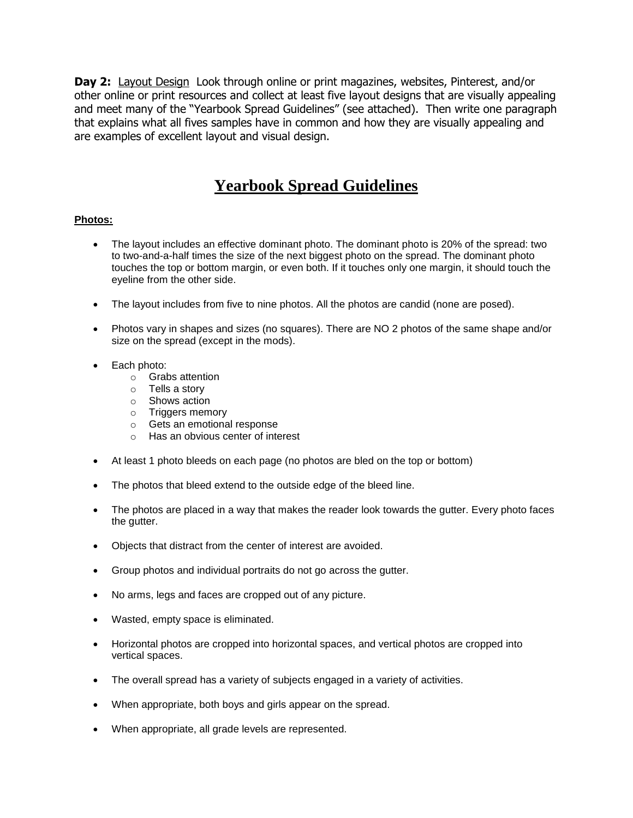**Day 2:** Layout Design Look through online or print magazines, websites, Pinterest, and/or other online or print resources and collect at least five layout designs that are visually appealing and meet many of the "Yearbook Spread Guidelines" (see attached). Then write one paragraph that explains what all fives samples have in common and how they are visually appealing and are examples of excellent layout and visual design.

# **Yearbook Spread Guidelines**

## **Photos:**

- The layout includes an effective dominant photo. The dominant photo is 20% of the spread: two to two-and-a-half times the size of the next biggest photo on the spread. The dominant photo touches the top or bottom margin, or even both. If it touches only one margin, it should touch the eyeline from the other side.
- The layout includes from five to nine photos. All the photos are candid (none are posed).
- Photos vary in shapes and sizes (no squares). There are NO 2 photos of the same shape and/or size on the spread (except in the mods).
- Each photo:
	- o Grabs attention
	- o Tells a story
	- o Shows action
	- o Triggers memory
	- o Gets an emotional response
	- o Has an obvious center of interest
- At least 1 photo bleeds on each page (no photos are bled on the top or bottom)
- The photos that bleed extend to the outside edge of the bleed line.
- The photos are placed in a way that makes the reader look towards the gutter. Every photo faces the gutter.
- Objects that distract from the center of interest are avoided.
- Group photos and individual portraits do not go across the gutter.
- No arms, legs and faces are cropped out of any picture.
- Wasted, empty space is eliminated.
- Horizontal photos are cropped into horizontal spaces, and vertical photos are cropped into vertical spaces.
- The overall spread has a variety of subjects engaged in a variety of activities.
- When appropriate, both boys and girls appear on the spread.
- When appropriate, all grade levels are represented.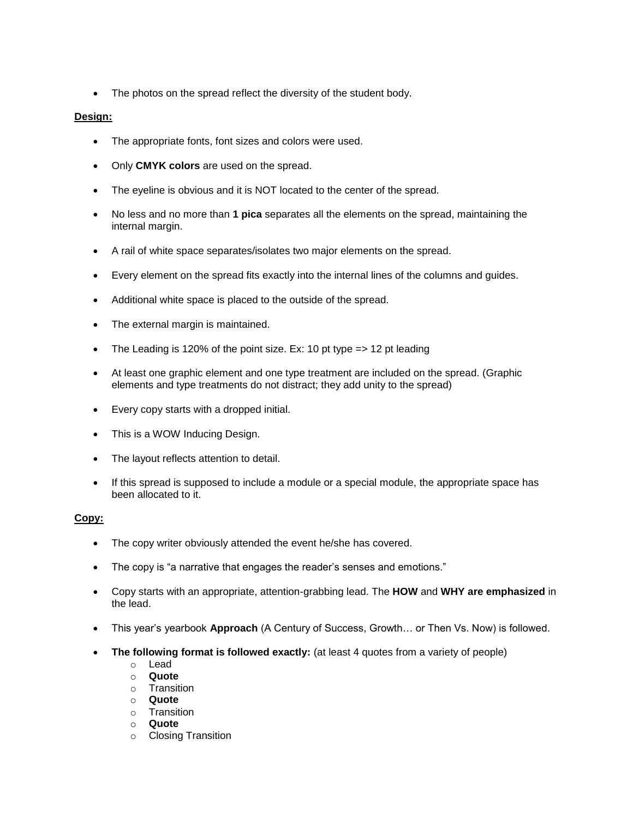• The photos on the spread reflect the diversity of the student body.

## **Design:**

- The appropriate fonts, font sizes and colors were used.
- Only **CMYK colors** are used on the spread.
- The eyeline is obvious and it is NOT located to the center of the spread.
- No less and no more than **1 pica** separates all the elements on the spread, maintaining the internal margin.
- A rail of white space separates/isolates two major elements on the spread.
- Every element on the spread fits exactly into the internal lines of the columns and guides.
- Additional white space is placed to the outside of the spread.
- The external margin is maintained.
- The Leading is 120% of the point size. Ex: 10 pt type  $\Rightarrow$  12 pt leading
- At least one graphic element and one type treatment are included on the spread. (Graphic elements and type treatments do not distract; they add unity to the spread)
- Every copy starts with a dropped initial.
- This is a WOW Inducing Design.
- The layout reflects attention to detail.
- If this spread is supposed to include a module or a special module, the appropriate space has been allocated to it.

## **Copy:**

- The copy writer obviously attended the event he/she has covered.
- The copy is "a narrative that engages the reader's senses and emotions."
- Copy starts with an appropriate, attention-grabbing lead. The **HOW** and **WHY are emphasized** in the lead.
- This year's yearbook **Approach** (A Century of Success, Growth… or Then Vs. Now) is followed.
- **The following format is followed exactly:** (at least 4 quotes from a variety of people)
	- o Lead
	- o **Quote**
	- o Transition
	- o **Quote**
	- o Transition
	- o **Quote**
	- o Closing Transition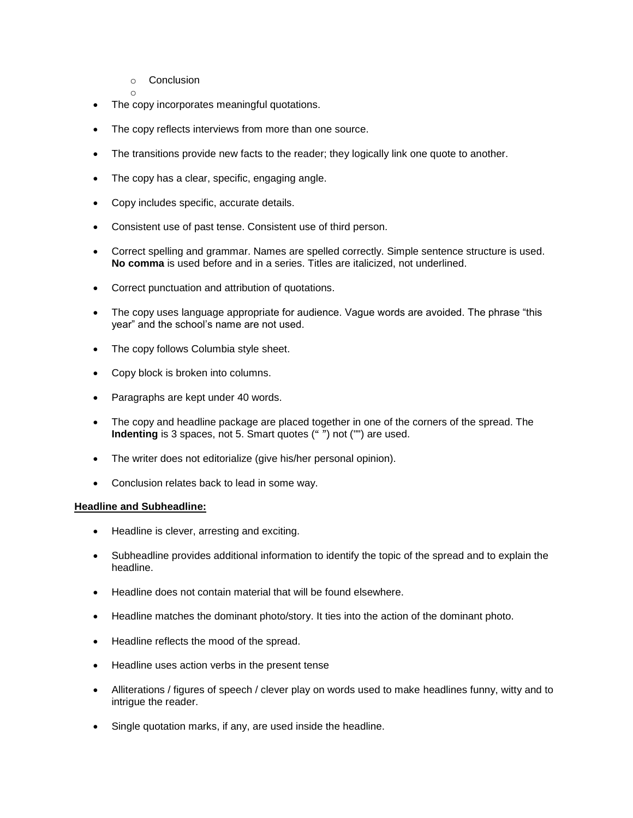o Conclusion

o

- The copy incorporates meaningful quotations.
- The copy reflects interviews from more than one source.
- The transitions provide new facts to the reader; they logically link one quote to another.
- The copy has a clear, specific, engaging angle.
- Copy includes specific, accurate details.
- Consistent use of past tense. Consistent use of third person.
- Correct spelling and grammar. Names are spelled correctly. Simple sentence structure is used. **No comma** is used before and in a series. Titles are italicized, not underlined.
- Correct punctuation and attribution of quotations.
- The copy uses language appropriate for audience. Vague words are avoided. The phrase "this year" and the school's name are not used.
- The copy follows Columbia style sheet.
- Copy block is broken into columns.
- Paragraphs are kept under 40 words.
- The copy and headline package are placed together in one of the corners of the spread. The **Indenting** is 3 spaces, not 5. Smart quotes (" ") not ("") are used.
- The writer does not editorialize (give his/her personal opinion).
- Conclusion relates back to lead in some way.

#### **Headline and Subheadline:**

- Headline is clever, arresting and exciting.
- Subheadline provides additional information to identify the topic of the spread and to explain the headline.
- Headline does not contain material that will be found elsewhere.
- Headline matches the dominant photo/story. It ties into the action of the dominant photo.
- Headline reflects the mood of the spread.
- Headline uses action verbs in the present tense
- Alliterations / figures of speech / clever play on words used to make headlines funny, witty and to intrigue the reader.
- Single quotation marks, if any, are used inside the headline.